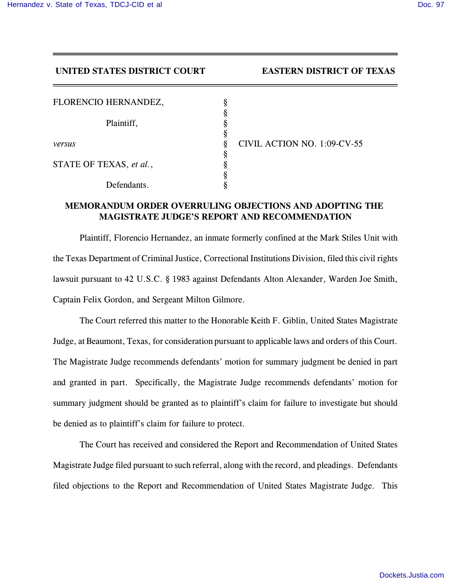## **UNITED STATES DISTRICT COURT EASTERN DISTRICT OF TEXAS**

| FLORENCIO HERNANDEZ,    |  |
|-------------------------|--|
| Plaintiff,              |  |
|                         |  |
| versus                  |  |
| STATE OF TEXAS, et al., |  |
|                         |  |
| Defendants.             |  |

*versus* § CIVIL ACTION NO. 1:09-CV-55

## **MEMORANDUM ORDER OVERRULING OBJECTIONS AND ADOPTING THE MAGISTRATE JUDGE'S REPORT AND RECOMMENDATION**

Plaintiff, Florencio Hernandez, an inmate formerly confined at the Mark Stiles Unit with the Texas Department of Criminal Justice, Correctional Institutions Division, filed this civil rights lawsuit pursuant to 42 U.S.C. § 1983 against Defendants Alton Alexander, Warden Joe Smith, Captain Felix Gordon, and Sergeant Milton Gilmore.

The Court referred this matter to the Honorable Keith F. Giblin, United States Magistrate Judge, at Beaumont, Texas, for consideration pursuant to applicable laws and orders of this Court. The Magistrate Judge recommends defendants' motion for summary judgment be denied in part and granted in part. Specifically, the Magistrate Judge recommends defendants' motion for summary judgment should be granted as to plaintiff's claim for failure to investigate but should be denied as to plaintiff's claim for failure to protect.

The Court has received and considered the Report and Recommendation of United States Magistrate Judge filed pursuant to such referral, along with the record, and pleadings. Defendants filed objections to the Report and Recommendation of United States Magistrate Judge. This